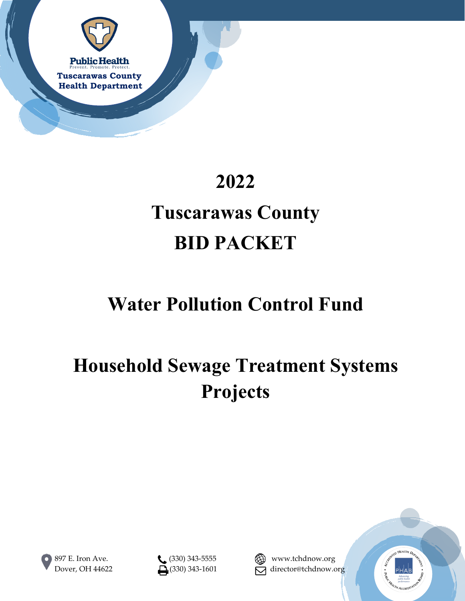

# **2022**

# **Tuscarawas County BID PACKET**

# **Water Pollution Control Fund**

# **Household Sewage Treatment Systems Projects**







Dover, OH 44622  $\Box$  (330) 343-1601  $\Box$  director@tchdnow.org

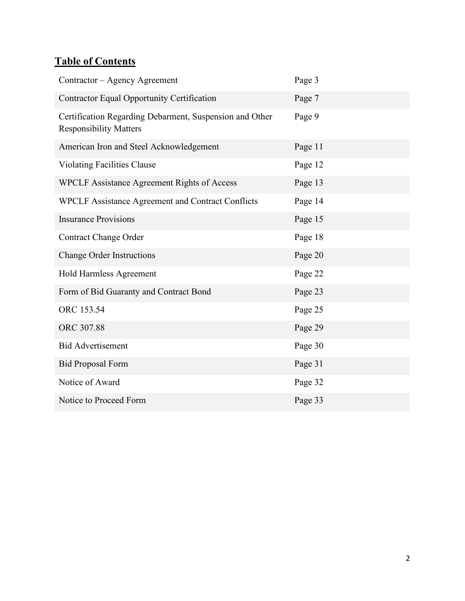## **Table of Contents**

| Contractor - Agency Agreement                                                            | Page 3  |
|------------------------------------------------------------------------------------------|---------|
| Contractor Equal Opportunity Certification                                               | Page 7  |
| Certification Regarding Debarment, Suspension and Other<br><b>Responsibility Matters</b> | Page 9  |
| American Iron and Steel Acknowledgement                                                  | Page 11 |
| <b>Violating Facilities Clause</b>                                                       | Page 12 |
| <b>WPCLF Assistance Agreement Rights of Access</b>                                       | Page 13 |
| WPCLF Assistance Agreement and Contract Conflicts                                        | Page 14 |
| <b>Insurance Provisions</b>                                                              | Page 15 |
| <b>Contract Change Order</b>                                                             | Page 18 |
| <b>Change Order Instructions</b>                                                         | Page 20 |
| Hold Harmless Agreement                                                                  | Page 22 |
| Form of Bid Guaranty and Contract Bond                                                   | Page 23 |
| ORC 153.54                                                                               | Page 25 |
| ORC 307.88                                                                               | Page 29 |
| <b>Bid Advertisement</b>                                                                 | Page 30 |
| <b>Bid Proposal Form</b>                                                                 | Page 31 |
| Notice of Award                                                                          | Page 32 |
| Notice to Proceed Form                                                                   | Page 33 |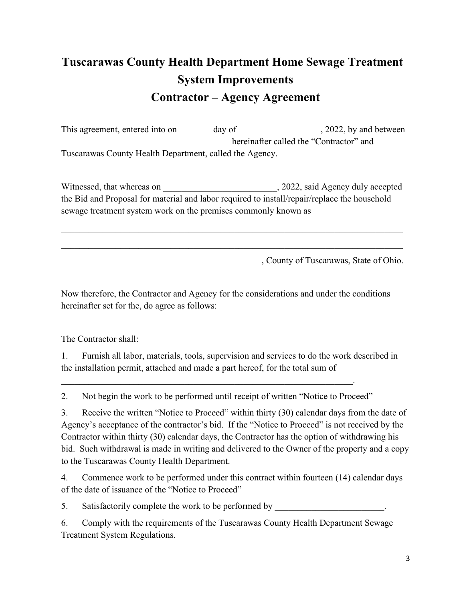# **Tuscarawas County Health Department Home Sewage Treatment System Improvements Contractor – Agency Agreement**

This agreement, entered into on day of  $\qquad \qquad$ , 2022, by and between hereinafter called the "Contractor" and Tuscarawas County Health Department, called the Agency.

Witnessed, that whereas on  $, 2022,$  said Agency duly accepted the Bid and Proposal for material and labor required to install/repair/replace the household sewage treatment system work on the premises commonly known as

\_\_\_\_\_\_\_\_\_\_\_\_\_\_\_\_\_\_\_\_\_\_\_\_\_\_\_\_\_\_\_\_\_\_\_\_\_\_\_\_\_\_\_\_\_\_\_\_\_\_\_\_\_\_\_\_\_\_\_\_\_\_\_\_\_\_\_\_\_\_\_\_\_\_\_

\_\_\_\_\_\_\_\_\_\_\_\_\_\_\_\_\_\_\_\_\_\_\_\_\_\_\_\_\_\_\_\_\_\_\_\_\_\_\_\_\_\_\_\_, County of Tuscarawas, State of Ohio.

Now therefore, the Contractor and Agency for the considerations and under the conditions hereinafter set for the, do agree as follows:

The Contractor shall:

1. Furnish all labor, materials, tools, supervision and services to do the work described in the installation permit, attached and made a part hereof, for the total sum of

2. Not begin the work to be performed until receipt of written "Notice to Proceed"

 $\mathcal{L}_\mathcal{L} = \mathcal{L}_\mathcal{L} = \mathcal{L}_\mathcal{L} = \mathcal{L}_\mathcal{L} = \mathcal{L}_\mathcal{L} = \mathcal{L}_\mathcal{L} = \mathcal{L}_\mathcal{L} = \mathcal{L}_\mathcal{L} = \mathcal{L}_\mathcal{L} = \mathcal{L}_\mathcal{L} = \mathcal{L}_\mathcal{L} = \mathcal{L}_\mathcal{L} = \mathcal{L}_\mathcal{L} = \mathcal{L}_\mathcal{L} = \mathcal{L}_\mathcal{L} = \mathcal{L}_\mathcal{L} = \mathcal{L}_\mathcal{L}$ 

3. Receive the written "Notice to Proceed" within thirty (30) calendar days from the date of Agency's acceptance of the contractor's bid. If the "Notice to Proceed" is not received by the Contractor within thirty (30) calendar days, the Contractor has the option of withdrawing his bid. Such withdrawal is made in writing and delivered to the Owner of the property and a copy to the Tuscarawas County Health Department.

4. Commence work to be performed under this contract within fourteen (14) calendar days of the date of issuance of the "Notice to Proceed"

5. Satisfactorily complete the work to be performed by

6. Comply with the requirements of the Tuscarawas County Health Department Sewage Treatment System Regulations.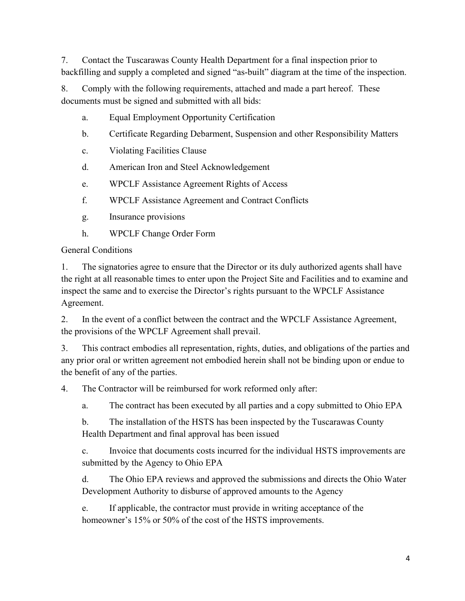7. Contact the Tuscarawas County Health Department for a final inspection prior to backfilling and supply a completed and signed "as-built" diagram at the time of the inspection.

8. Comply with the following requirements, attached and made a part hereof. These documents must be signed and submitted with all bids:

- a. Equal Employment Opportunity Certification
- b. Certificate Regarding Debarment, Suspension and other Responsibility Matters
- c. Violating Facilities Clause
- d. American Iron and Steel Acknowledgement
- e. WPCLF Assistance Agreement Rights of Access
- f. WPCLF Assistance Agreement and Contract Conflicts
- g. Insurance provisions
- h. WPCLF Change Order Form

General Conditions

1. The signatories agree to ensure that the Director or its duly authorized agents shall have the right at all reasonable times to enter upon the Project Site and Facilities and to examine and inspect the same and to exercise the Director's rights pursuant to the WPCLF Assistance Agreement.

2. In the event of a conflict between the contract and the WPCLF Assistance Agreement, the provisions of the WPCLF Agreement shall prevail.

3. This contract embodies all representation, rights, duties, and obligations of the parties and any prior oral or written agreement not embodied herein shall not be binding upon or endue to the benefit of any of the parties.

4. The Contractor will be reimbursed for work reformed only after:

a. The contract has been executed by all parties and a copy submitted to Ohio EPA

b. The installation of the HSTS has been inspected by the Tuscarawas County Health Department and final approval has been issued

c. Invoice that documents costs incurred for the individual HSTS improvements are submitted by the Agency to Ohio EPA

d. The Ohio EPA reviews and approved the submissions and directs the Ohio Water Development Authority to disburse of approved amounts to the Agency

e. If applicable, the contractor must provide in writing acceptance of the homeowner's 15% or 50% of the cost of the HSTS improvements.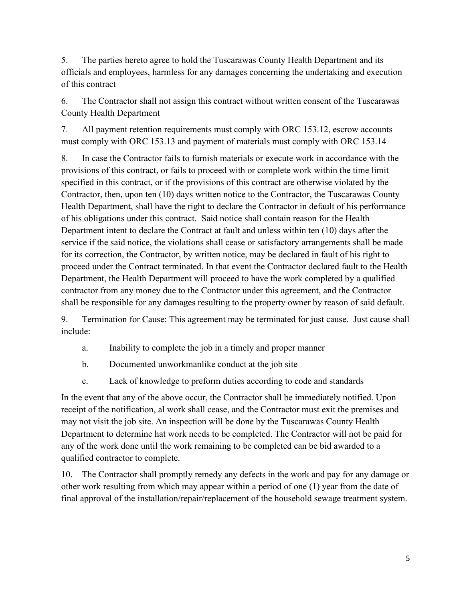5. The parties hereto agree to hold the Tuscarawas County Health Department and its officials and employees, harmless for any damages concerning the undertaking and execution of this contract

6. The Contractor shall not assign this contract without written consent of the Tuscarawas County Health Department

7. All payment retention requirements must comply with ORC 153.12, escrow accounts must comply with ORC 153.13 and payment of materials must comply with ORC 153.14

8. In case the Contractor fails to furnish materials or execute work in accordance with the provisions of this contract, or fails to proceed with or complete work within the time limit specified in this contract, or if the provisions of this contract are otherwise violated by the Contractor, then, upon ten (10) days written notice to the Contractor, the Tuscarawas County Health Department, shall have the right to declare the Contractor in default of his performance of his obligations under this contract. Said notice shall contain reason for the Health Department intent to declare the Contract at fault and unless within ten (10) days after the service if the said notice, the violations shall cease or satisfactory arrangements shall be made for its correction, the Contractor, by written notice, may be declared in fault of his right to proceed under the Contract terminated. In that event the Contractor declared fault to the Health Department, the Health Department will proceed to have the work completed by a qualified contractor from any money due to the Contractor under this agreement, and the Contractor shall be responsible for any damages resulting to the property owner by reason of said default.

9. Termination for Cause: This agreement may be terminated for just cause. Just cause shall include:

- a. Inability to complete the job in a timely and proper manner
- b. Documented unworkmanlike conduct at the job site
- c. Lack of knowledge to preform duties according to code and standards

In the event that any of the above occur, the Contractor shall be immediately notified. Upon receipt of the notification, al work shall cease, and the Contractor must exit the premises and may not visit the job site. An inspection will be done by the Tuscarawas County Health Department to determine hat work needs to be completed. The Contractor will not be paid for any of the work done until the work remaining to be completed can be bid awarded to a qualified contractor to complete.

10. The Contractor shall promptly remedy any defects in the work and pay for any damage or other work resulting from which may appear within a period of one (1) year from the date of final approval of the installation/repair/replacement of the household sewage treatment system.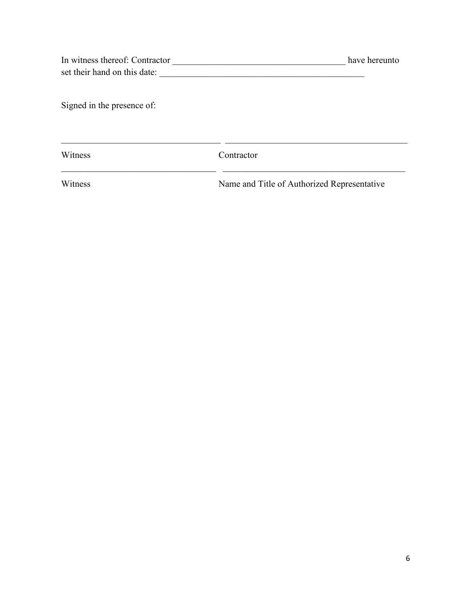| In witness thereof: Contractor | have hereunto |
|--------------------------------|---------------|
| set their hand on this date:   |               |

Signed in the presence of:

Witness Contractor

\_\_\_\_\_\_\_\_\_\_\_\_\_\_\_\_\_\_\_\_\_\_\_\_\_\_\_\_\_\_\_\_\_\_ \_\_\_\_\_\_\_\_\_\_\_\_\_\_\_\_\_\_\_\_\_\_\_\_\_\_\_\_\_\_\_\_\_\_\_\_\_\_\_\_

Witness Name and Title of Authorized Representative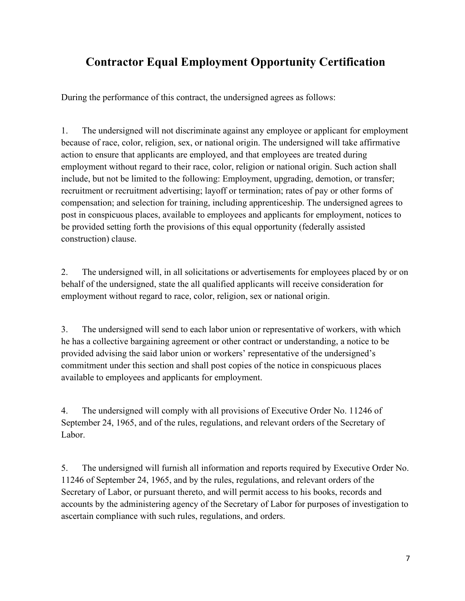### **Contractor Equal Employment Opportunity Certification**

During the performance of this contract, the undersigned agrees as follows:

1. The undersigned will not discriminate against any employee or applicant for employment because of race, color, religion, sex, or national origin. The undersigned will take affirmative action to ensure that applicants are employed, and that employees are treated during employment without regard to their race, color, religion or national origin. Such action shall include, but not be limited to the following: Employment, upgrading, demotion, or transfer; recruitment or recruitment advertising; layoff or termination; rates of pay or other forms of compensation; and selection for training, including apprenticeship. The undersigned agrees to post in conspicuous places, available to employees and applicants for employment, notices to be provided setting forth the provisions of this equal opportunity (federally assisted construction) clause.

2. The undersigned will, in all solicitations or advertisements for employees placed by or on behalf of the undersigned, state the all qualified applicants will receive consideration for employment without regard to race, color, religion, sex or national origin.

3. The undersigned will send to each labor union or representative of workers, with which he has a collective bargaining agreement or other contract or understanding, a notice to be provided advising the said labor union or workers' representative of the undersigned's commitment under this section and shall post copies of the notice in conspicuous places available to employees and applicants for employment.

4. The undersigned will comply with all provisions of Executive Order No. 11246 of September 24, 1965, and of the rules, regulations, and relevant orders of the Secretary of Labor.

5. The undersigned will furnish all information and reports required by Executive Order No. 11246 of September 24, 1965, and by the rules, regulations, and relevant orders of the Secretary of Labor, or pursuant thereto, and will permit access to his books, records and accounts by the administering agency of the Secretary of Labor for purposes of investigation to ascertain compliance with such rules, regulations, and orders.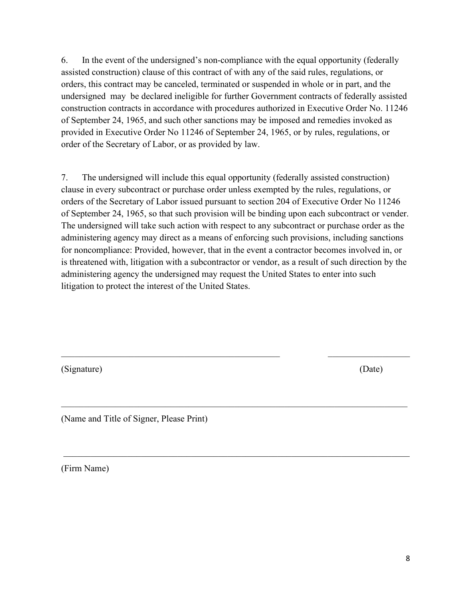6. In the event of the undersigned's non‐compliance with the equal opportunity (federally assisted construction) clause of this contract of with any of the said rules, regulations, or orders, this contract may be canceled, terminated or suspended in whole or in part, and the undersigned may be declared ineligible for further Government contracts of federally assisted construction contracts in accordance with procedures authorized in Executive Order No. 11246 of September 24, 1965, and such other sanctions may be imposed and remedies invoked as provided in Executive Order No 11246 of September 24, 1965, or by rules, regulations, or order of the Secretary of Labor, or as provided by law.

7. The undersigned will include this equal opportunity (federally assisted construction) clause in every subcontract or purchase order unless exempted by the rules, regulations, or orders of the Secretary of Labor issued pursuant to section 204 of Executive Order No 11246 of September 24, 1965, so that such provision will be binding upon each subcontract or vender. The undersigned will take such action with respect to any subcontract or purchase order as the administering agency may direct as a means of enforcing such provisions, including sanctions for noncompliance: Provided, however, that in the event a contractor becomes involved in, or is threatened with, litigation with a subcontractor or vendor, as a result of such direction by the administering agency the undersigned may request the United States to enter into such litigation to protect the interest of the United States.

 $\mathcal{L}_\mathcal{L} = \mathcal{L}_\mathcal{L} = \mathcal{L}_\mathcal{L} = \mathcal{L}_\mathcal{L} = \mathcal{L}_\mathcal{L} = \mathcal{L}_\mathcal{L} = \mathcal{L}_\mathcal{L} = \mathcal{L}_\mathcal{L} = \mathcal{L}_\mathcal{L} = \mathcal{L}_\mathcal{L} = \mathcal{L}_\mathcal{L} = \mathcal{L}_\mathcal{L} = \mathcal{L}_\mathcal{L} = \mathcal{L}_\mathcal{L} = \mathcal{L}_\mathcal{L} = \mathcal{L}_\mathcal{L} = \mathcal{L}_\mathcal{L}$ 

\_\_\_\_\_\_\_\_\_\_\_\_\_\_\_\_\_\_\_\_\_\_\_\_\_\_\_\_\_\_\_\_\_\_\_\_\_\_\_\_\_\_\_\_\_\_\_\_\_\_\_\_\_\_\_\_\_\_\_\_\_\_\_\_\_\_\_\_\_\_\_\_\_\_\_\_

(Signature) (Date)

(Name and Title of Signer, Please Print)

(Firm Name)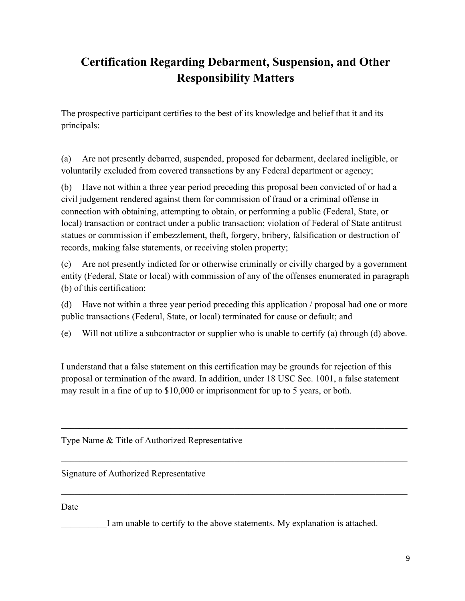## **Certification Regarding Debarment, Suspension, and Other Responsibility Matters**

The prospective participant certifies to the best of its knowledge and belief that it and its principals:

(a) Are not presently debarred, suspended, proposed for debarment, declared ineligible, or voluntarily excluded from covered transactions by any Federal department or agency;

(b) Have not within a three year period preceding this proposal been convicted of or had a civil judgement rendered against them for commission of fraud or a criminal offense in connection with obtaining, attempting to obtain, or performing a public (Federal, State, or local) transaction or contract under a public transaction; violation of Federal of State antitrust statues or commission if embezzlement, theft, forgery, bribery, falsification or destruction of records, making false statements, or receiving stolen property;

(c) Are not presently indicted for or otherwise criminally or civilly charged by a government entity (Federal, State or local) with commission of any of the offenses enumerated in paragraph (b) of this certification;

(d) Have not within a three year period preceding this application / proposal had one or more public transactions (Federal, State, or local) terminated for cause or default; and

(e) Will not utilize a subcontractor or supplier who is unable to certify (a) through (d) above.

I understand that a false statement on this certification may be grounds for rejection of this proposal or termination of the award. In addition, under 18 USC Sec. 1001, a false statement may result in a fine of up to \$10,000 or imprisonment for up to 5 years, or both.

\_\_\_\_\_\_\_\_\_\_\_\_\_\_\_\_\_\_\_\_\_\_\_\_\_\_\_\_\_\_\_\_\_\_\_\_\_\_\_\_\_\_\_\_\_\_\_\_\_\_\_\_\_\_\_\_\_\_\_\_\_\_\_\_\_\_\_\_\_\_\_\_\_\_\_\_

 $\mathcal{L}_\mathcal{L} = \mathcal{L}_\mathcal{L} = \mathcal{L}_\mathcal{L} = \mathcal{L}_\mathcal{L} = \mathcal{L}_\mathcal{L} = \mathcal{L}_\mathcal{L} = \mathcal{L}_\mathcal{L} = \mathcal{L}_\mathcal{L} = \mathcal{L}_\mathcal{L} = \mathcal{L}_\mathcal{L} = \mathcal{L}_\mathcal{L} = \mathcal{L}_\mathcal{L} = \mathcal{L}_\mathcal{L} = \mathcal{L}_\mathcal{L} = \mathcal{L}_\mathcal{L} = \mathcal{L}_\mathcal{L} = \mathcal{L}_\mathcal{L}$ 

Type Name & Title of Authorized Representative

Signature of Authorized Representative

Date

I am unable to certify to the above statements. My explanation is attached.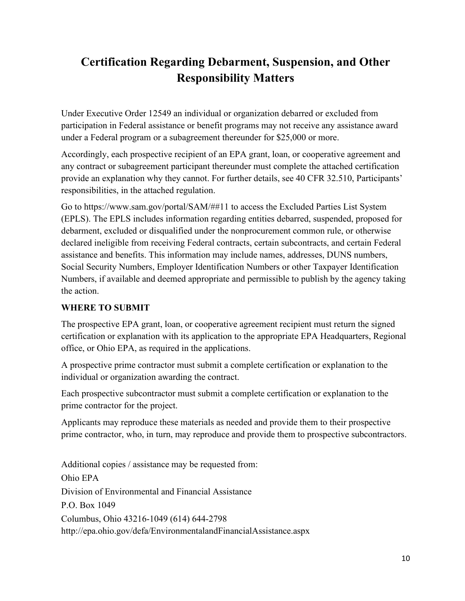## **Certification Regarding Debarment, Suspension, and Other Responsibility Matters**

Under Executive Order 12549 an individual or organization debarred or excluded from participation in Federal assistance or benefit programs may not receive any assistance award under a Federal program or a subagreement thereunder for \$25,000 or more.

Accordingly, each prospective recipient of an EPA grant, loan, or cooperative agreement and any contract or subagreement participant thereunder must complete the attached certification provide an explanation why they cannot. For further details, see 40 CFR 32.510, Participants' responsibilities, in the attached regulation.

Go to https://www.sam.gov/portal/SAM/##11 to access the Excluded Parties List System (EPLS). The EPLS includes information regarding entities debarred, suspended, proposed for debarment, excluded or disqualified under the nonprocurement common rule, or otherwise declared ineligible from receiving Federal contracts, certain subcontracts, and certain Federal assistance and benefits. This information may include names, addresses, DUNS numbers, Social Security Numbers, Employer Identification Numbers or other Taxpayer Identification Numbers, if available and deemed appropriate and permissible to publish by the agency taking the action.

#### **WHERE TO SUBMIT**

The prospective EPA grant, loan, or cooperative agreement recipient must return the signed certification or explanation with its application to the appropriate EPA Headquarters, Regional office, or Ohio EPA, as required in the applications.

A prospective prime contractor must submit a complete certification or explanation to the individual or organization awarding the contract.

Each prospective subcontractor must submit a complete certification or explanation to the prime contractor for the project.

Applicants may reproduce these materials as needed and provide them to their prospective prime contractor, who, in turn, may reproduce and provide them to prospective subcontractors.

Additional copies / assistance may be requested from: Ohio EPA Division of Environmental and Financial Assistance P.O. Box 1049 Columbus, Ohio 43216‐1049 (614) 644‐2798 http://epa.ohio.gov/defa/EnvironmentalandFinancialAssistance.aspx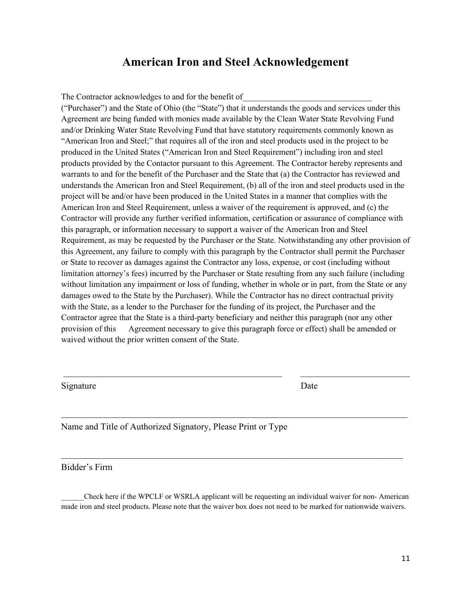#### **American Iron and Steel Acknowledgement**

The Contractor acknowledges to and for the benefit of

("Purchaser") and the State of Ohio (the "State") that it understands the goods and services under this Agreement are being funded with monies made available by the Clean Water State Revolving Fund and/or Drinking Water State Revolving Fund that have statutory requirements commonly known as "American Iron and Steel;" that requires all of the iron and steel products used in the project to be produced in the United States ("American Iron and Steel Requirement") including iron and steel products provided by the Contactor pursuant to this Agreement. The Contractor hereby represents and warrants to and for the benefit of the Purchaser and the State that (a) the Contractor has reviewed and understands the American Iron and Steel Requirement, (b) all of the iron and steel products used in the project will be and/or have been produced in the United States in a manner that complies with the American Iron and Steel Requirement, unless a waiver of the requirement is approved, and (c) the Contractor will provide any further verified information, certification or assurance of compliance with this paragraph, or information necessary to support a waiver of the American Iron and Steel Requirement, as may be requested by the Purchaser or the State. Notwithstanding any other provision of this Agreement, any failure to comply with this paragraph by the Contractor shall permit the Purchaser or State to recover as damages against the Contractor any loss, expense, or cost (including without limitation attorney's fees) incurred by the Purchaser or State resulting from any such failure (including without limitation any impairment or loss of funding, whether in whole or in part, from the State or any damages owed to the State by the Purchaser). While the Contractor has no direct contractual privity with the State, as a lender to the Purchaser for the funding of its project, the Purchaser and the Contractor agree that the State is a third-party beneficiary and neither this paragraph (nor any other provision of this Agreement necessary to give this paragraph force or effect) shall be amended or waived without the prior written consent of the State.

Signature Date

Name and Title of Authorized Signatory, Please Print or Type

Bidder's Firm

\_\_\_\_\_\_Check here if the WPCLF or WSRLA applicant will be requesting an individual waiver for non- American made iron and steel products. Please note that the waiver box does not need to be marked for nationwide waivers.

\_\_\_\_\_\_\_\_\_\_\_\_\_\_\_\_\_\_\_\_\_\_\_\_\_\_\_\_\_\_\_\_\_\_\_\_\_\_\_\_\_\_\_\_\_\_\_\_\_\_\_\_\_\_\_\_\_\_\_\_\_\_\_\_\_\_\_\_\_\_\_\_\_\_\_\_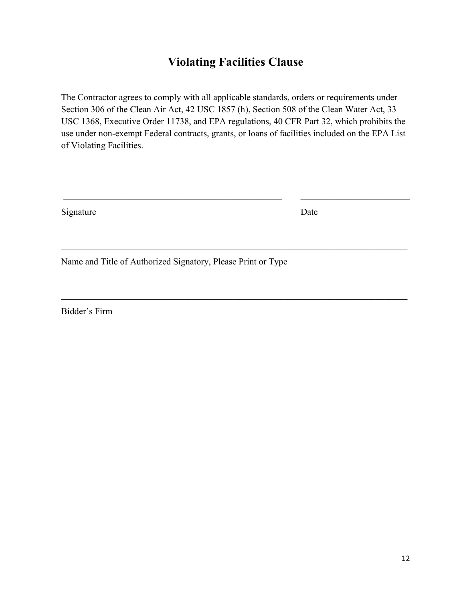## **Violating Facilities Clause**

The Contractor agrees to comply with all applicable standards, orders or requirements under Section 306 of the Clean Air Act, 42 USC 1857 (h), Section 508 of the Clean Water Act, 33 USC 1368, Executive Order 11738, and EPA regulations, 40 CFR Part 32, which prohibits the use under non‐exempt Federal contracts, grants, or loans of facilities included on the EPA List of Violating Facilities.

 $\mathcal{L}_\mathcal{L} = \mathcal{L}_\mathcal{L} = \mathcal{L}_\mathcal{L} = \mathcal{L}_\mathcal{L} = \mathcal{L}_\mathcal{L} = \mathcal{L}_\mathcal{L} = \mathcal{L}_\mathcal{L} = \mathcal{L}_\mathcal{L} = \mathcal{L}_\mathcal{L} = \mathcal{L}_\mathcal{L} = \mathcal{L}_\mathcal{L} = \mathcal{L}_\mathcal{L} = \mathcal{L}_\mathcal{L} = \mathcal{L}_\mathcal{L} = \mathcal{L}_\mathcal{L} = \mathcal{L}_\mathcal{L} = \mathcal{L}_\mathcal{L}$ 

\_\_\_\_\_\_\_\_\_\_\_\_\_\_\_\_\_\_\_\_\_\_\_\_\_\_\_\_\_\_\_\_\_\_\_\_\_\_\_\_\_\_\_\_\_\_\_\_\_\_\_\_\_\_\_\_\_\_\_\_\_\_\_\_\_\_\_\_\_\_\_\_\_\_\_\_

Signature Date

Name and Title of Authorized Signatory, Please Print or Type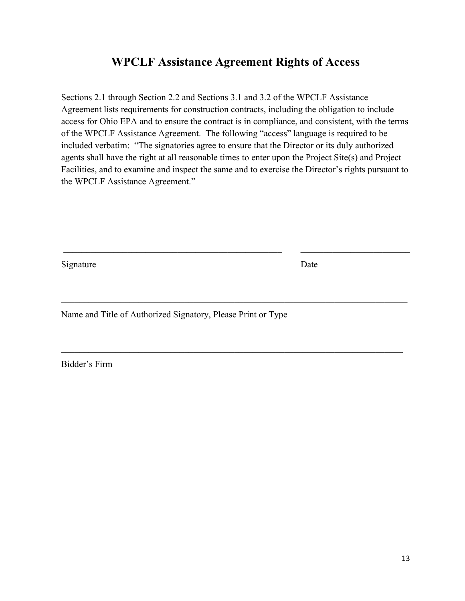#### **WPCLF Assistance Agreement Rights of Access**

Sections 2.1 through Section 2.2 and Sections 3.1 and 3.2 of the WPCLF Assistance Agreement lists requirements for construction contracts, including the obligation to include access for Ohio EPA and to ensure the contract is in compliance, and consistent, with the terms of the WPCLF Assistance Agreement. The following "access" language is required to be included verbatim: "The signatories agree to ensure that the Director or its duly authorized agents shall have the right at all reasonable times to enter upon the Project Site(s) and Project Facilities, and to examine and inspect the same and to exercise the Director's rights pursuant to the WPCLF Assistance Agreement."

 $\mathcal{L}_\text{max}$  , and the contribution of the contribution of the contribution of the contribution of the contribution of the contribution of the contribution of the contribution of the contribution of the contribution of t

\_\_\_\_\_\_\_\_\_\_\_\_\_\_\_\_\_\_\_\_\_\_\_\_\_\_\_\_\_\_\_\_\_\_\_\_\_\_\_\_\_\_\_\_\_\_\_\_\_\_\_\_\_\_\_\_\_\_\_\_\_\_\_\_\_\_\_\_\_\_\_\_\_\_\_\_

\_\_\_\_\_\_\_\_\_\_\_\_\_\_\_\_\_\_\_\_\_\_\_\_\_\_\_\_\_\_\_\_\_\_\_\_\_\_\_\_\_\_\_\_\_\_\_\_\_\_\_\_\_\_\_\_\_\_\_\_\_\_\_\_\_\_\_\_\_\_\_\_\_\_\_

Signature Date

Name and Title of Authorized Signatory, Please Print or Type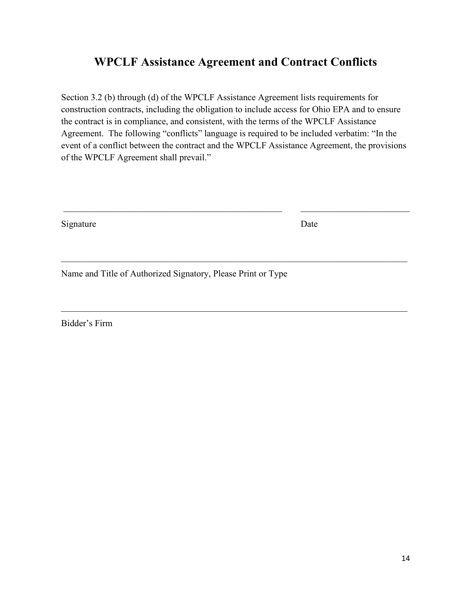#### **WPCLF Assistance Agreement and Contract Conflicts**

Section 3.2 (b) through (d) of the WPCLF Assistance Agreement lists requirements for construction contracts, including the obligation to include access for Ohio EPA and to ensure the contract is in compliance, and consistent, with the terms of the WPCLF Assistance Agreement. The following "conflicts" language is required to be included verbatim: "In the event of a conflict between the contract and the WPCLF Assistance Agreement, the provisions of the WPCLF Agreement shall prevail."

 $\mathcal{L}_\text{max}$  , and the contribution of the contribution of the contribution of the contribution of the contribution of the contribution of the contribution of the contribution of the contribution of the contribution of t

\_\_\_\_\_\_\_\_\_\_\_\_\_\_\_\_\_\_\_\_\_\_\_\_\_\_\_\_\_\_\_\_\_\_\_\_\_\_\_\_\_\_\_\_\_\_\_\_\_\_\_\_\_\_\_\_\_\_\_\_\_\_\_\_\_\_\_\_\_\_\_\_\_\_\_\_

\_\_\_\_\_\_\_\_\_\_\_\_\_\_\_\_\_\_\_\_\_\_\_\_\_\_\_\_\_\_\_\_\_\_\_\_\_\_\_\_\_\_\_\_\_\_\_\_\_\_\_\_\_\_\_\_\_\_\_\_\_\_\_\_\_\_\_\_\_\_\_\_\_\_\_\_

Signature Date

Name and Title of Authorized Signatory, Please Print or Type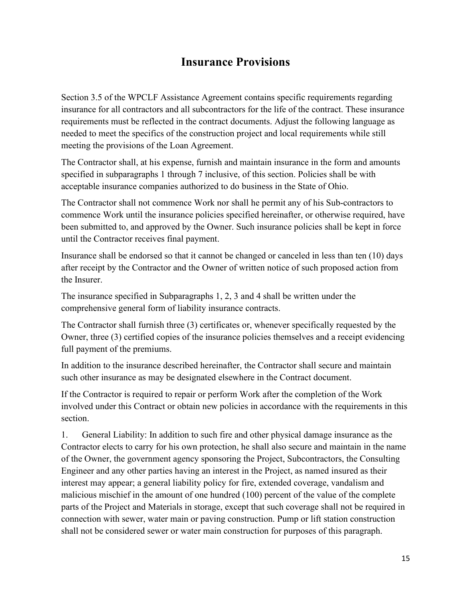### **Insurance Provisions**

Section 3.5 of the WPCLF Assistance Agreement contains specific requirements regarding insurance for all contractors and all subcontractors for the life of the contract. These insurance requirements must be reflected in the contract documents. Adjust the following language as needed to meet the specifics of the construction project and local requirements while still meeting the provisions of the Loan Agreement.

The Contractor shall, at his expense, furnish and maintain insurance in the form and amounts specified in subparagraphs 1 through 7 inclusive, of this section. Policies shall be with acceptable insurance companies authorized to do business in the State of Ohio.

The Contractor shall not commence Work nor shall he permit any of his Sub-contractors to commence Work until the insurance policies specified hereinafter, or otherwise required, have been submitted to, and approved by the Owner. Such insurance policies shall be kept in force until the Contractor receives final payment.

Insurance shall be endorsed so that it cannot be changed or canceled in less than ten (10) days after receipt by the Contractor and the Owner of written notice of such proposed action from the Insurer.

The insurance specified in Subparagraphs 1, 2, 3 and 4 shall be written under the comprehensive general form of liability insurance contracts.

The Contractor shall furnish three (3) certificates or, whenever specifically requested by the Owner, three (3) certified copies of the insurance policies themselves and a receipt evidencing full payment of the premiums.

In addition to the insurance described hereinafter, the Contractor shall secure and maintain such other insurance as may be designated elsewhere in the Contract document.

If the Contractor is required to repair or perform Work after the completion of the Work involved under this Contract or obtain new policies in accordance with the requirements in this section.

1. General Liability: In addition to such fire and other physical damage insurance as the Contractor elects to carry for his own protection, he shall also secure and maintain in the name of the Owner, the government agency sponsoring the Project, Subcontractors, the Consulting Engineer and any other parties having an interest in the Project, as named insured as their interest may appear; a general liability policy for fire, extended coverage, vandalism and malicious mischief in the amount of one hundred (100) percent of the value of the complete parts of the Project and Materials in storage, except that such coverage shall not be required in connection with sewer, water main or paving construction. Pump or lift station construction shall not be considered sewer or water main construction for purposes of this paragraph.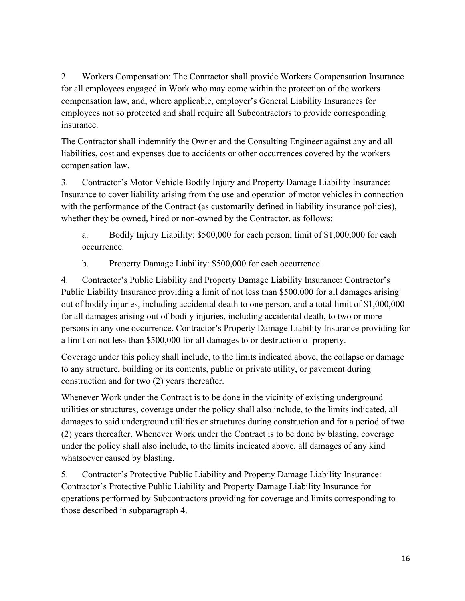2. Workers Compensation: The Contractor shall provide Workers Compensation Insurance for all employees engaged in Work who may come within the protection of the workers compensation law, and, where applicable, employer's General Liability Insurances for employees not so protected and shall require all Subcontractors to provide corresponding insurance.

The Contractor shall indemnify the Owner and the Consulting Engineer against any and all liabilities, cost and expenses due to accidents or other occurrences covered by the workers compensation law.

3. Contractor's Motor Vehicle Bodily Injury and Property Damage Liability Insurance: Insurance to cover liability arising from the use and operation of motor vehicles in connection with the performance of the Contract (as customarily defined in liability insurance policies), whether they be owned, hired or non-owned by the Contractor, as follows:

a. Bodily Injury Liability: \$500,000 for each person; limit of \$1,000,000 for each occurrence.

b. Property Damage Liability: \$500,000 for each occurrence.

4. Contractor's Public Liability and Property Damage Liability Insurance: Contractor's Public Liability Insurance providing a limit of not less than \$500,000 for all damages arising out of bodily injuries, including accidental death to one person, and a total limit of \$1,000,000 for all damages arising out of bodily injuries, including accidental death, to two or more persons in any one occurrence. Contractor's Property Damage Liability Insurance providing for a limit on not less than \$500,000 for all damages to or destruction of property.

Coverage under this policy shall include, to the limits indicated above, the collapse or damage to any structure, building or its contents, public or private utility, or pavement during construction and for two (2) years thereafter.

Whenever Work under the Contract is to be done in the vicinity of existing underground utilities or structures, coverage under the policy shall also include, to the limits indicated, all damages to said underground utilities or structures during construction and for a period of two (2) years thereafter. Whenever Work under the Contract is to be done by blasting, coverage under the policy shall also include, to the limits indicated above, all damages of any kind whatsoever caused by blasting.

5. Contractor's Protective Public Liability and Property Damage Liability Insurance: Contractor's Protective Public Liability and Property Damage Liability Insurance for operations performed by Subcontractors providing for coverage and limits corresponding to those described in subparagraph 4.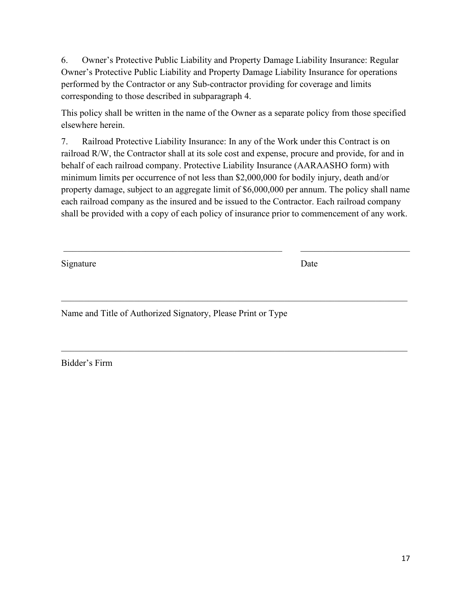6. Owner's Protective Public Liability and Property Damage Liability Insurance: Regular Owner's Protective Public Liability and Property Damage Liability Insurance for operations performed by the Contractor or any Sub‐contractor providing for coverage and limits corresponding to those described in subparagraph 4.

This policy shall be written in the name of the Owner as a separate policy from those specified elsewhere herein.

7. Railroad Protective Liability Insurance: In any of the Work under this Contract is on railroad R/W, the Contractor shall at its sole cost and expense, procure and provide, for and in behalf of each railroad company. Protective Liability Insurance (AARAASHO form) with minimum limits per occurrence of not less than \$2,000,000 for bodily injury, death and/or property damage, subject to an aggregate limit of \$6,000,000 per annum. The policy shall name each railroad company as the insured and be issued to the Contractor. Each railroad company shall be provided with a copy of each policy of insurance prior to commencement of any work.

 $\mathcal{L}_\text{max}$  , and the contribution of the contribution of the contribution of the contribution of the contribution of the contribution of the contribution of the contribution of the contribution of the contribution of t

\_\_\_\_\_\_\_\_\_\_\_\_\_\_\_\_\_\_\_\_\_\_\_\_\_\_\_\_\_\_\_\_\_\_\_\_\_\_\_\_\_\_\_\_\_\_\_\_\_\_\_\_\_\_\_\_\_\_\_\_\_\_\_\_\_\_\_\_\_\_\_\_\_\_\_\_

Signature Date

Name and Title of Authorized Signatory, Please Print or Type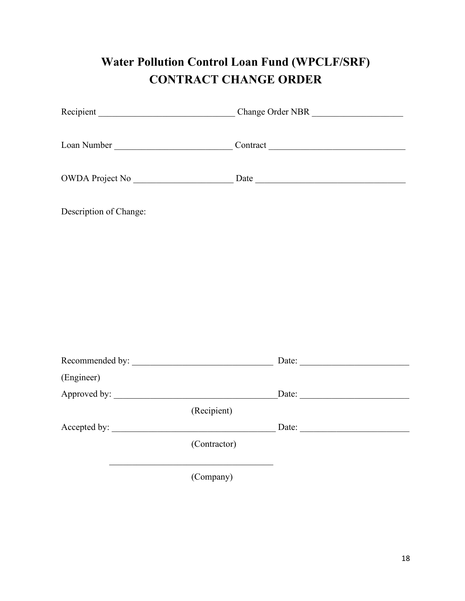# **Water Pollution Control Loan Fund (WPCLF/SRF) CONTRACT CHANGE ORDER**

| Loan Number Contract Contract Contract Contract Contract Contract Contract Contract Contract Contract Contract Contract Contract Contract Contract Contract Contract Contract Contract Contract Contract Contract Contract Con |              |       |  |  |  |  |  |
|--------------------------------------------------------------------------------------------------------------------------------------------------------------------------------------------------------------------------------|--------------|-------|--|--|--|--|--|
|                                                                                                                                                                                                                                |              |       |  |  |  |  |  |
| Description of Change:                                                                                                                                                                                                         |              |       |  |  |  |  |  |
|                                                                                                                                                                                                                                |              |       |  |  |  |  |  |
|                                                                                                                                                                                                                                |              |       |  |  |  |  |  |
|                                                                                                                                                                                                                                |              |       |  |  |  |  |  |
|                                                                                                                                                                                                                                |              |       |  |  |  |  |  |
|                                                                                                                                                                                                                                |              | Date: |  |  |  |  |  |
| (Engineer)                                                                                                                                                                                                                     |              |       |  |  |  |  |  |
| Approved by:                                                                                                                                                                                                                   |              | Date: |  |  |  |  |  |
|                                                                                                                                                                                                                                | (Recipient)  |       |  |  |  |  |  |
|                                                                                                                                                                                                                                |              |       |  |  |  |  |  |
|                                                                                                                                                                                                                                | (Contractor) |       |  |  |  |  |  |
|                                                                                                                                                                                                                                | (Company)    |       |  |  |  |  |  |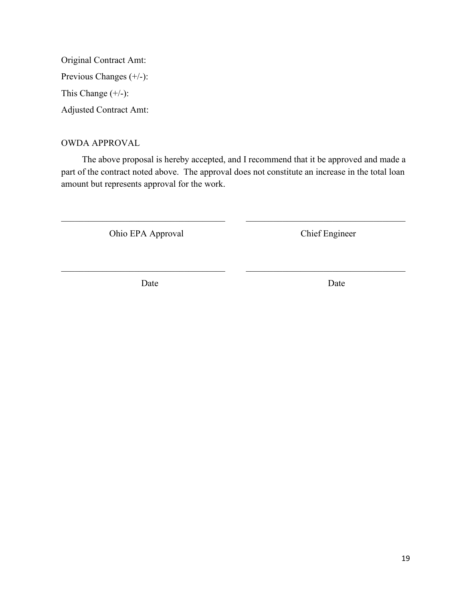Original Contract Amt: Previous Changes (+/-): This Change  $(+/-)$ : Adjusted Contract Amt:

#### OWDA APPROVAL

The above proposal is hereby accepted, and I recommend that it be approved and made a part of the contract noted above. The approval does not constitute an increase in the total loan amount but represents approval for the work.

 $\_$ 

 $\_$ 

Ohio EPA Approval Chief Engineer

Date Date Date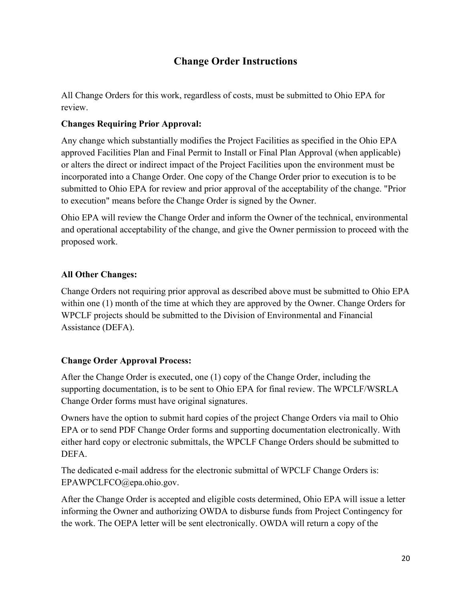#### **Change Order Instructions**

All Change Orders for this work, regardless of costs, must be submitted to Ohio EPA for review.

#### **Changes Requiring Prior Approval:**

Any change which substantially modifies the Project Facilities as specified in the Ohio EPA approved Facilities Plan and Final Permit to Install or Final Plan Approval (when applicable) or alters the direct or indirect impact of the Project Facilities upon the environment must be incorporated into a Change Order. One copy of the Change Order prior to execution is to be submitted to Ohio EPA for review and prior approval of the acceptability of the change. "Prior to execution" means before the Change Order is signed by the Owner.

Ohio EPA will review the Change Order and inform the Owner of the technical, environmental and operational acceptability of the change, and give the Owner permission to proceed with the proposed work.

#### **All Other Changes:**

Change Orders not requiring prior approval as described above must be submitted to Ohio EPA within one (1) month of the time at which they are approved by the Owner. Change Orders for WPCLF projects should be submitted to the Division of Environmental and Financial Assistance (DEFA).

#### **Change Order Approval Process:**

After the Change Order is executed, one (1) copy of the Change Order, including the supporting documentation, is to be sent to Ohio EPA for final review. The WPCLF/WSRLA Change Order forms must have original signatures.

Owners have the option to submit hard copies of the project Change Orders via mail to Ohio EPA or to send PDF Change Order forms and supporting documentation electronically. With either hard copy or electronic submittals, the WPCLF Change Orders should be submitted to DEFA.

The dedicated e-mail address for the electronic submittal of WPCLF Change Orders is: EPAWPCLFCO@epa.ohio.gov.

After the Change Order is accepted and eligible costs determined, Ohio EPA will issue a letter informing the Owner and authorizing OWDA to disburse funds from Project Contingency for the work. The OEPA letter will be sent electronically. OWDA will return a copy of the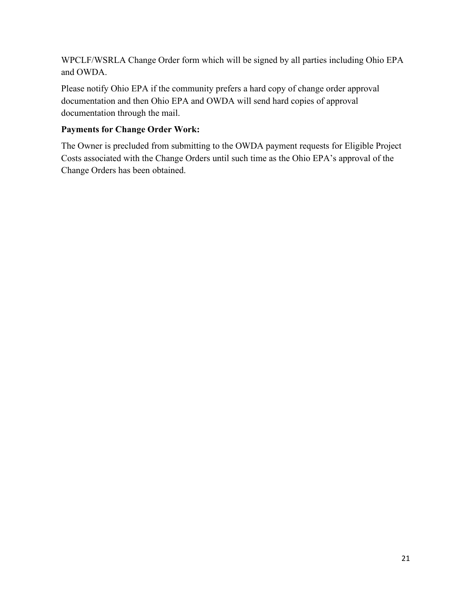WPCLF/WSRLA Change Order form which will be signed by all parties including Ohio EPA and OWDA.

Please notify Ohio EPA if the community prefers a hard copy of change order approval documentation and then Ohio EPA and OWDA will send hard copies of approval documentation through the mail.

#### **Payments for Change Order Work:**

The Owner is precluded from submitting to the OWDA payment requests for Eligible Project Costs associated with the Change Orders until such time as the Ohio EPA's approval of the Change Orders has been obtained.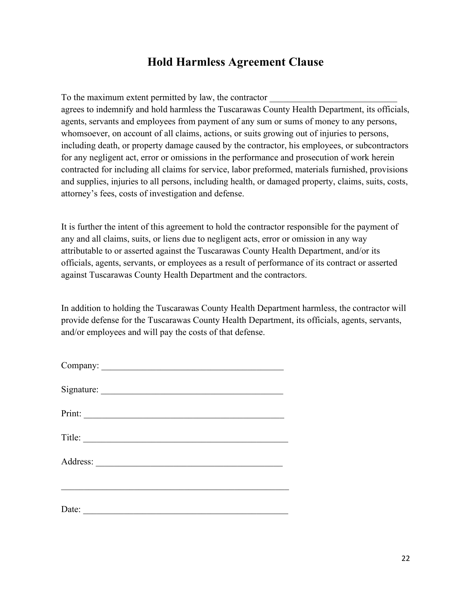### **Hold Harmless Agreement Clause**

To the maximum extent permitted by law, the contractor

agrees to indemnify and hold harmless the Tuscarawas County Health Department, its officials, agents, servants and employees from payment of any sum or sums of money to any persons, whomsoever, on account of all claims, actions, or suits growing out of injuries to persons, including death, or property damage caused by the contractor, his employees, or subcontractors for any negligent act, error or omissions in the performance and prosecution of work herein contracted for including all claims for service, labor preformed, materials furnished, provisions and supplies, injuries to all persons, including health, or damaged property, claims, suits, costs, attorney's fees, costs of investigation and defense.

It is further the intent of this agreement to hold the contractor responsible for the payment of any and all claims, suits, or liens due to negligent acts, error or omission in any way attributable to or asserted against the Tuscarawas County Health Department, and/or its officials, agents, servants, or employees as a result of performance of its contract or asserted against Tuscarawas County Health Department and the contractors.

In addition to holding the Tuscarawas County Health Department harmless, the contractor will provide defense for the Tuscarawas County Health Department, its officials, agents, servants, and/or employees and will pay the costs of that defense.

| Print:                                                                                                                        |  |
|-------------------------------------------------------------------------------------------------------------------------------|--|
|                                                                                                                               |  |
|                                                                                                                               |  |
|                                                                                                                               |  |
| Date:<br><u> 1989 - Johann John Stone, mars eta bainar eta bainar eta baina eta baina eta baina eta baina eta baina eta b</u> |  |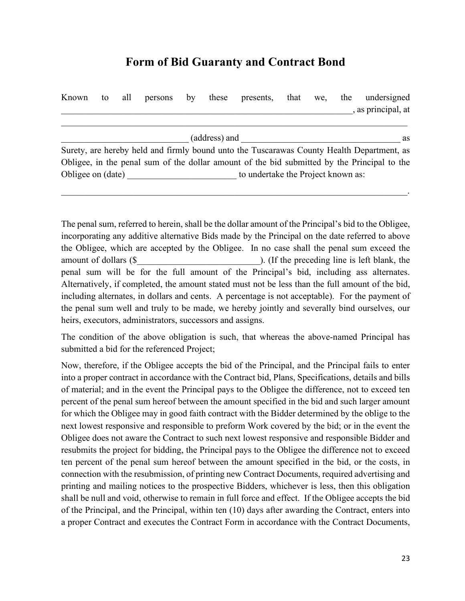### **Form of Bid Guaranty and Contract Bond**

| Known             | to                  | all | persons | by | these | presents,                          | that | we, | the | undersigned                                                                                 |
|-------------------|---------------------|-----|---------|----|-------|------------------------------------|------|-----|-----|---------------------------------------------------------------------------------------------|
|                   |                     |     |         |    |       |                                    |      |     |     | , as principal, at                                                                          |
|                   |                     |     |         |    |       |                                    |      |     |     |                                                                                             |
|                   | (address) and<br>as |     |         |    |       |                                    |      |     |     |                                                                                             |
|                   |                     |     |         |    |       |                                    |      |     |     | Surety, are hereby held and firmly bound unto the Tuscarawas County Health Department, as   |
|                   |                     |     |         |    |       |                                    |      |     |     | Obligee, in the penal sum of the dollar amount of the bid submitted by the Principal to the |
| Obligee on (date) |                     |     |         |    |       | to undertake the Project known as: |      |     |     |                                                                                             |

 $\mathcal{L}_\mathcal{L} = \mathcal{L}_\mathcal{L} = \mathcal{L}_\mathcal{L} = \mathcal{L}_\mathcal{L} = \mathcal{L}_\mathcal{L} = \mathcal{L}_\mathcal{L} = \mathcal{L}_\mathcal{L} = \mathcal{L}_\mathcal{L} = \mathcal{L}_\mathcal{L} = \mathcal{L}_\mathcal{L} = \mathcal{L}_\mathcal{L} = \mathcal{L}_\mathcal{L} = \mathcal{L}_\mathcal{L} = \mathcal{L}_\mathcal{L} = \mathcal{L}_\mathcal{L} = \mathcal{L}_\mathcal{L} = \mathcal{L}_\mathcal{L}$ 

The penal sum, referred to herein, shall be the dollar amount of the Principal's bid to the Obligee, incorporating any additive alternative Bids made by the Principal on the date referred to above the Obligee, which are accepted by the Obligee. In no case shall the penal sum exceed the amount of dollars  $(\$$ penal sum will be for the full amount of the Principal's bid, including ass alternates. Alternatively, if completed, the amount stated must not be less than the full amount of the bid, including alternates, in dollars and cents. A percentage is not acceptable). For the payment of the penal sum well and truly to be made, we hereby jointly and severally bind ourselves, our heirs, executors, administrators, successors and assigns.

The condition of the above obligation is such, that whereas the above-named Principal has submitted a bid for the referenced Project;

Now, therefore, if the Obligee accepts the bid of the Principal, and the Principal fails to enter into a proper contract in accordance with the Contract bid, Plans, Specifications, details and bills of material; and in the event the Principal pays to the Obligee the difference, not to exceed ten percent of the penal sum hereof between the amount specified in the bid and such larger amount for which the Obligee may in good faith contract with the Bidder determined by the oblige to the next lowest responsive and responsible to preform Work covered by the bid; or in the event the Obligee does not aware the Contract to such next lowest responsive and responsible Bidder and resubmits the project for bidding, the Principal pays to the Obligee the difference not to exceed ten percent of the penal sum hereof between the amount specified in the bid, or the costs, in connection with the resubmission, of printing new Contract Documents, required advertising and printing and mailing notices to the prospective Bidders, whichever is less, then this obligation shall be null and void, otherwise to remain in full force and effect. If the Obligee accepts the bid of the Principal, and the Principal, within ten (10) days after awarding the Contract, enters into a proper Contract and executes the Contract Form in accordance with the Contract Documents,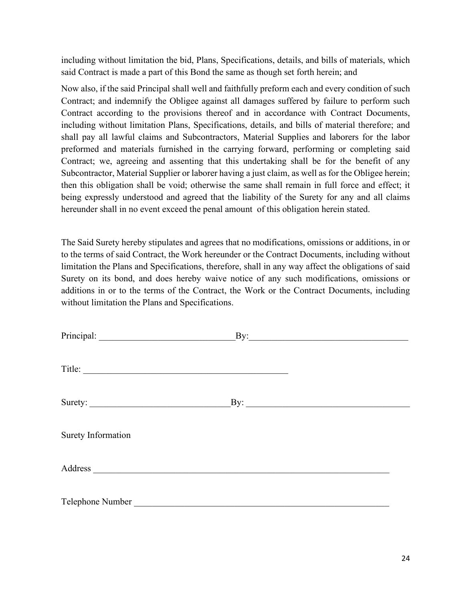including without limitation the bid, Plans, Specifications, details, and bills of materials, which said Contract is made a part of this Bond the same as though set forth herein; and

Now also, if the said Principal shall well and faithfully preform each and every condition of such Contract; and indemnify the Obligee against all damages suffered by failure to perform such Contract according to the provisions thereof and in accordance with Contract Documents, including without limitation Plans, Specifications, details, and bills of material therefore; and shall pay all lawful claims and Subcontractors, Material Supplies and laborers for the labor preformed and materials furnished in the carrying forward, performing or completing said Contract; we, agreeing and assenting that this undertaking shall be for the benefit of any Subcontractor, Material Supplier or laborer having a just claim, as well as for the Obligee herein; then this obligation shall be void; otherwise the same shall remain in full force and effect; it being expressly understood and agreed that the liability of the Surety for any and all claims hereunder shall in no event exceed the penal amount of this obligation herein stated.

The Said Surety hereby stipulates and agrees that no modifications, omissions or additions, in or to the terms of said Contract, the Work hereunder or the Contract Documents, including without limitation the Plans and Specifications, therefore, shall in any way affect the obligations of said Surety on its bond, and does hereby waive notice of any such modifications, omissions or additions in or to the terms of the Contract, the Work or the Contract Documents, including without limitation the Plans and Specifications.

|                                                                                                                                                                                                                                    | $\mathbf{B}$ y: |
|------------------------------------------------------------------------------------------------------------------------------------------------------------------------------------------------------------------------------------|-----------------|
| Title:                                                                                                                                                                                                                             |                 |
| Surety:                                                                                                                                                                                                                            | By:             |
| <b>Surety Information</b>                                                                                                                                                                                                          |                 |
| Address <u>and the second second second</u> and the second second second second second second second second second second second second second second second second second second second second second second second second second |                 |
| Telephone Number                                                                                                                                                                                                                   |                 |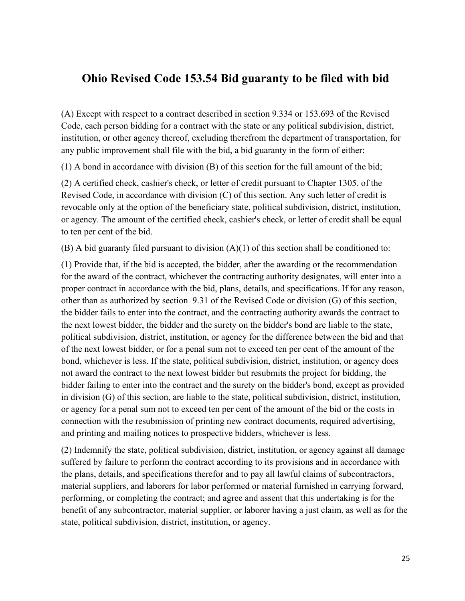#### **Ohio Revised Code 153.54 Bid guaranty to be filed with bid**

(A) Except with respect to a contract described in section 9.334 or 153.693 of the Revised Code, each person bidding for a contract with the state or any political subdivision, district, institution, or other agency thereof, excluding therefrom the department of transportation, for any public improvement shall file with the bid, a bid guaranty in the form of either:

(1) A bond in accordance with division (B) of this section for the full amount of the bid;

(2) A certified check, cashier's check, or letter of credit pursuant to Chapter 1305. of the Revised Code, in accordance with division (C) of this section. Any such letter of credit is revocable only at the option of the beneficiary state, political subdivision, district, institution, or agency. The amount of the certified check, cashier's check, or letter of credit shall be equal to ten per cent of the bid.

(B) A bid guaranty filed pursuant to division (A)(1) of this section shall be conditioned to:

(1) Provide that, if the bid is accepted, the bidder, after the awarding or the recommendation for the award of the contract, whichever the contracting authority designates, will enter into a proper contract in accordance with the bid, plans, details, and specifications. If for any reason, other than as authorized by section 9.31 of the Revised Code or division (G) of this section, the bidder fails to enter into the contract, and the contracting authority awards the contract to the next lowest bidder, the bidder and the surety on the bidder's bond are liable to the state, political subdivision, district, institution, or agency for the difference between the bid and that of the next lowest bidder, or for a penal sum not to exceed ten per cent of the amount of the bond, whichever is less. If the state, political subdivision, district, institution, or agency does not award the contract to the next lowest bidder but resubmits the project for bidding, the bidder failing to enter into the contract and the surety on the bidder's bond, except as provided in division (G) of this section, are liable to the state, political subdivision, district, institution, or agency for a penal sum not to exceed ten per cent of the amount of the bid or the costs in connection with the resubmission of printing new contract documents, required advertising, and printing and mailing notices to prospective bidders, whichever is less.

(2) Indemnify the state, political subdivision, district, institution, or agency against all damage suffered by failure to perform the contract according to its provisions and in accordance with the plans, details, and specifications therefor and to pay all lawful claims of subcontractors, material suppliers, and laborers for labor performed or material furnished in carrying forward, performing, or completing the contract; and agree and assent that this undertaking is for the benefit of any subcontractor, material supplier, or laborer having a just claim, as well as for the state, political subdivision, district, institution, or agency.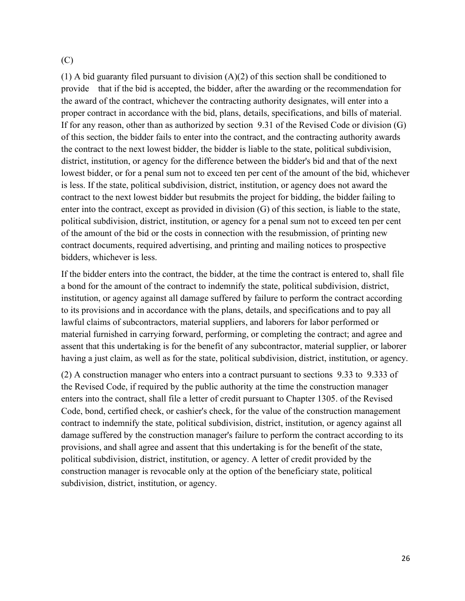(C)

(1) A bid guaranty filed pursuant to division (A)(2) of this section shall be conditioned to provide that if the bid is accepted, the bidder, after the awarding or the recommendation for the award of the contract, whichever the contracting authority designates, will enter into a proper contract in accordance with the bid, plans, details, specifications, and bills of material. If for any reason, other than as authorized by section 9.31 of the Revised Code or division (G) of this section, the bidder fails to enter into the contract, and the contracting authority awards the contract to the next lowest bidder, the bidder is liable to the state, political subdivision, district, institution, or agency for the difference between the bidder's bid and that of the next lowest bidder, or for a penal sum not to exceed ten per cent of the amount of the bid, whichever is less. If the state, political subdivision, district, institution, or agency does not award the contract to the next lowest bidder but resubmits the project for bidding, the bidder failing to enter into the contract, except as provided in division (G) of this section, is liable to the state, political subdivision, district, institution, or agency for a penal sum not to exceed ten per cent of the amount of the bid or the costs in connection with the resubmission, of printing new contract documents, required advertising, and printing and mailing notices to prospective bidders, whichever is less.

If the bidder enters into the contract, the bidder, at the time the contract is entered to, shall file a bond for the amount of the contract to indemnify the state, political subdivision, district, institution, or agency against all damage suffered by failure to perform the contract according to its provisions and in accordance with the plans, details, and specifications and to pay all lawful claims of subcontractors, material suppliers, and laborers for labor performed or material furnished in carrying forward, performing, or completing the contract; and agree and assent that this undertaking is for the benefit of any subcontractor, material supplier, or laborer having a just claim, as well as for the state, political subdivision, district, institution, or agency.

(2) A construction manager who enters into a contract pursuant to sections 9.33 to 9.333 of the Revised Code, if required by the public authority at the time the construction manager enters into the contract, shall file a letter of credit pursuant to Chapter 1305. of the Revised Code, bond, certified check, or cashier's check, for the value of the construction management contract to indemnify the state, political subdivision, district, institution, or agency against all damage suffered by the construction manager's failure to perform the contract according to its provisions, and shall agree and assent that this undertaking is for the benefit of the state, political subdivision, district, institution, or agency. A letter of credit provided by the construction manager is revocable only at the option of the beneficiary state, political subdivision, district, institution, or agency.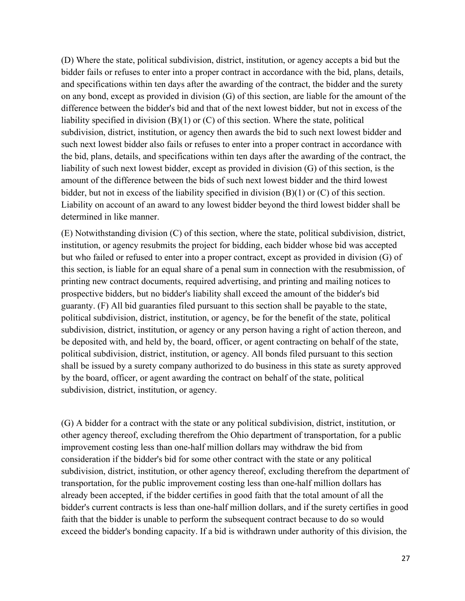(D) Where the state, political subdivision, district, institution, or agency accepts a bid but the bidder fails or refuses to enter into a proper contract in accordance with the bid, plans, details, and specifications within ten days after the awarding of the contract, the bidder and the surety on any bond, except as provided in division (G) of this section, are liable for the amount of the difference between the bidder's bid and that of the next lowest bidder, but not in excess of the liability specified in division (B)(1) or (C) of this section. Where the state, political subdivision, district, institution, or agency then awards the bid to such next lowest bidder and such next lowest bidder also fails or refuses to enter into a proper contract in accordance with the bid, plans, details, and specifications within ten days after the awarding of the contract, the liability of such next lowest bidder, except as provided in division (G) of this section, is the amount of the difference between the bids of such next lowest bidder and the third lowest bidder, but not in excess of the liability specified in division (B)(1) or (C) of this section. Liability on account of an award to any lowest bidder beyond the third lowest bidder shall be determined in like manner.

(E) Notwithstanding division (C) of this section, where the state, political subdivision, district, institution, or agency resubmits the project for bidding, each bidder whose bid was accepted but who failed or refused to enter into a proper contract, except as provided in division (G) of this section, is liable for an equal share of a penal sum in connection with the resubmission, of printing new contract documents, required advertising, and printing and mailing notices to prospective bidders, but no bidder's liability shall exceed the amount of the bidder's bid guaranty. (F) All bid guaranties filed pursuant to this section shall be payable to the state, political subdivision, district, institution, or agency, be for the benefit of the state, political subdivision, district, institution, or agency or any person having a right of action thereon, and be deposited with, and held by, the board, officer, or agent contracting on behalf of the state, political subdivision, district, institution, or agency. All bonds filed pursuant to this section shall be issued by a surety company authorized to do business in this state as surety approved by the board, officer, or agent awarding the contract on behalf of the state, political subdivision, district, institution, or agency.

(G) A bidder for a contract with the state or any political subdivision, district, institution, or other agency thereof, excluding therefrom the Ohio department of transportation, for a public improvement costing less than one-half million dollars may withdraw the bid from consideration if the bidder's bid for some other contract with the state or any political subdivision, district, institution, or other agency thereof, excluding therefrom the department of transportation, for the public improvement costing less than one-half million dollars has already been accepted, if the bidder certifies in good faith that the total amount of all the bidder's current contracts is less than one-half million dollars, and if the surety certifies in good faith that the bidder is unable to perform the subsequent contract because to do so would exceed the bidder's bonding capacity. If a bid is withdrawn under authority of this division, the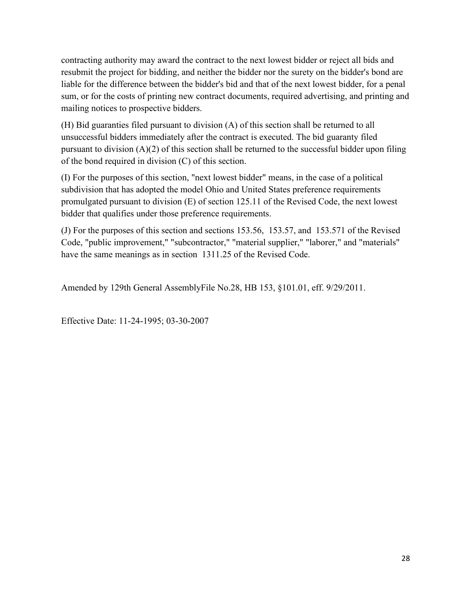contracting authority may award the contract to the next lowest bidder or reject all bids and resubmit the project for bidding, and neither the bidder nor the surety on the bidder's bond are liable for the difference between the bidder's bid and that of the next lowest bidder, for a penal sum, or for the costs of printing new contract documents, required advertising, and printing and mailing notices to prospective bidders.

(H) Bid guaranties filed pursuant to division (A) of this section shall be returned to all unsuccessful bidders immediately after the contract is executed. The bid guaranty filed pursuant to division  $(A)(2)$  of this section shall be returned to the successful bidder upon filing of the bond required in division (C) of this section.

(I) For the purposes of this section, "next lowest bidder" means, in the case of a political subdivision that has adopted the model Ohio and United States preference requirements promulgated pursuant to division (E) of section 125.11 of the Revised Code, the next lowest bidder that qualifies under those preference requirements.

(J) For the purposes of this section and sections 153.56, 153.57, and 153.571 of the Revised Code, "public improvement," "subcontractor," "material supplier," "laborer," and "materials" have the same meanings as in section 1311.25 of the Revised Code.

Amended by 129th General AssemblyFile No.28, HB 153, §101.01, eff. 9/29/2011.

Effective Date: 11-24-1995; 03-30-2007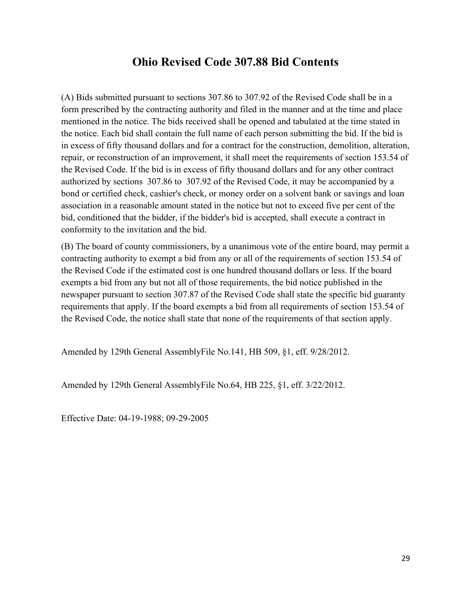#### **Ohio Revised Code 307.88 Bid Contents**

(A) Bids submitted pursuant to sections 307.86 to 307.92 of the Revised Code shall be in a form prescribed by the contracting authority and filed in the manner and at the time and place mentioned in the notice. The bids received shall be opened and tabulated at the time stated in the notice. Each bid shall contain the full name of each person submitting the bid. If the bid is in excess of fifty thousand dollars and for a contract for the construction, demolition, alteration, repair, or reconstruction of an improvement, it shall meet the requirements of section 153.54 of the Revised Code. If the bid is in excess of fifty thousand dollars and for any other contract authorized by sections 307.86 to 307.92 of the Revised Code, it may be accompanied by a bond or certified check, cashier's check, or money order on a solvent bank or savings and loan association in a reasonable amount stated in the notice but not to exceed five per cent of the bid, conditioned that the bidder, if the bidder's bid is accepted, shall execute a contract in conformity to the invitation and the bid.

(B) The board of county commissioners, by a unanimous vote of the entire board, may permit a contracting authority to exempt a bid from any or all of the requirements of section 153.54 of the Revised Code if the estimated cost is one hundred thousand dollars or less. If the board exempts a bid from any but not all of those requirements, the bid notice published in the newspaper pursuant to section 307.87 of the Revised Code shall state the specific bid guaranty requirements that apply. If the board exempts a bid from all requirements of section 153.54 of the Revised Code, the notice shall state that none of the requirements of that section apply.

Amended by 129th General AssemblyFile No.141, HB 509, §1, eff. 9/28/2012.

Amended by 129th General AssemblyFile No.64, HB 225, §1, eff. 3/22/2012.

Effective Date: 04-19-1988; 09-29-2005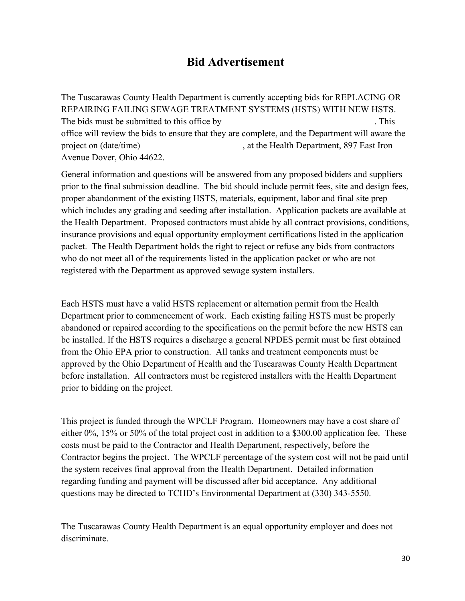#### **Bid Advertisement**

The Tuscarawas County Health Department is currently accepting bids for REPLACING OR REPAIRING FAILING SEWAGE TREATMENT SYSTEMS (HSTS) WITH NEW HSTS. The bids must be submitted to this office by The bids must be submitted to this office by office will review the bids to ensure that they are complete, and the Department will aware the project on (date/time) at the Health Department, 897 East Iron Avenue Dover, Ohio 44622.

General information and questions will be answered from any proposed bidders and suppliers prior to the final submission deadline. The bid should include permit fees, site and design fees, proper abandonment of the existing HSTS, materials, equipment, labor and final site prep which includes any grading and seeding after installation. Application packets are available at the Health Department. Proposed contractors must abide by all contract provisions, conditions, insurance provisions and equal opportunity employment certifications listed in the application packet. The Health Department holds the right to reject or refuse any bids from contractors who do not meet all of the requirements listed in the application packet or who are not registered with the Department as approved sewage system installers.

Each HSTS must have a valid HSTS replacement or alternation permit from the Health Department prior to commencement of work. Each existing failing HSTS must be properly abandoned or repaired according to the specifications on the permit before the new HSTS can be installed. If the HSTS requires a discharge a general NPDES permit must be first obtained from the Ohio EPA prior to construction. All tanks and treatment components must be approved by the Ohio Department of Health and the Tuscarawas County Health Department before installation. All contractors must be registered installers with the Health Department prior to bidding on the project.

This project is funded through the WPCLF Program. Homeowners may have a cost share of either 0%, 15% or 50% of the total project cost in addition to a \$300.00 application fee. These costs must be paid to the Contractor and Health Department, respectively, before the Contractor begins the project. The WPCLF percentage of the system cost will not be paid until the system receives final approval from the Health Department. Detailed information regarding funding and payment will be discussed after bid acceptance. Any additional questions may be directed to TCHD's Environmental Department at (330) 343-5550.

The Tuscarawas County Health Department is an equal opportunity employer and does not discriminate.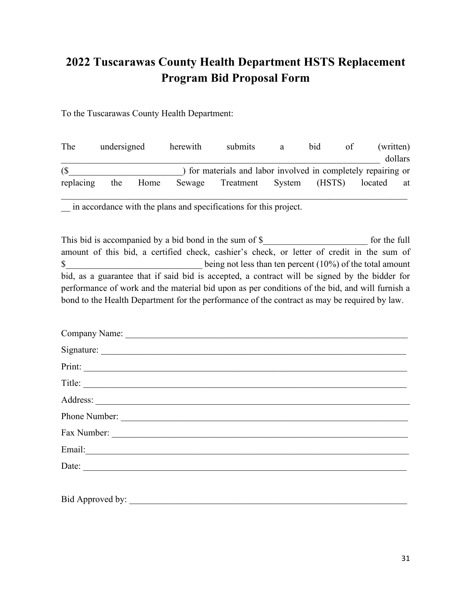## **2022 Tuscarawas County Health Department HSTS Replacement Program Bid Proposal Form**

To the Tuscarawas County Health Department:

| The       | undersigned |      | herewith | submits                                                       | a | bid | <sub>of</sub> | (written)     |
|-----------|-------------|------|----------|---------------------------------------------------------------|---|-----|---------------|---------------|
|           |             |      |          |                                                               |   |     |               | dollars       |
| (S)       |             |      |          | ) for materials and labor involved in completely repairing or |   |     |               |               |
| replacing | the         | Home | Sewage   | Treatment System (HSTS)                                       |   |     |               | located<br>at |
|           |             |      |          |                                                               |   |     |               |               |

\_\_ in accordance with the plans and specifications for this project.

This bid is accompanied by a bid bond in the sum of \$ for the full for the full amount of this bid, a certified check, cashier's check, or letter of credit in the sum of \$ being not less than ten percent (10%) of the total amount bid, as a guarantee that if said bid is accepted, a contract will be signed by the bidder for performance of work and the material bid upon as per conditions of the bid, and will furnish a bond to the Health Department for the performance of the contract as may be required by law.

| Title:        |
|---------------|
|               |
| Phone Number: |
| Fax Number:   |
|               |
| Date:         |
|               |

Bid Approved by: \_\_\_\_\_\_\_\_\_\_\_\_\_\_\_\_\_\_\_\_\_\_\_\_\_\_\_\_\_\_\_\_\_\_\_\_\_\_\_\_\_\_\_\_\_\_\_\_\_\_\_\_\_\_\_\_\_\_\_\_\_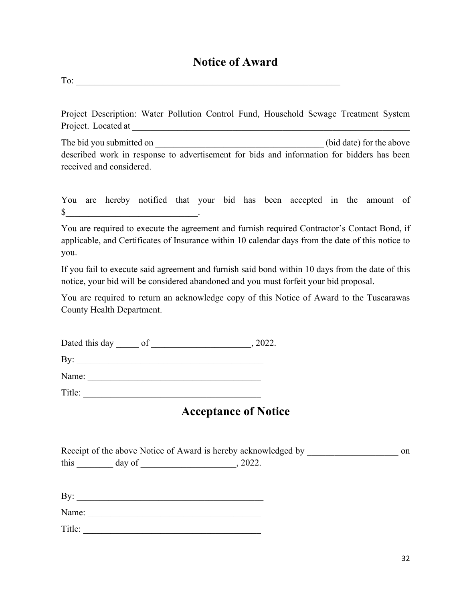#### **Notice of Award**

To:

Project Description: Water Pollution Control Fund, Household Sewage Treatment System Project. Located at \_\_\_\_\_\_\_\_\_\_\_\_\_\_\_\_\_\_\_\_\_\_\_\_\_\_\_\_\_\_\_\_\_\_\_\_\_\_\_\_\_\_\_\_\_\_\_\_\_\_\_\_\_\_\_\_\_\_\_\_\_

The bid you submitted on  $\qquad \qquad$  (bid date) for the above described work in response to advertisement for bids and information for bidders has been received and considered.

You are hereby notified that your bid has been accepted in the amount of  $\mathbb{S}$   $\blacksquare$ 

You are required to execute the agreement and furnish required Contractor's Contact Bond, if applicable, and Certificates of Insurance within 10 calendar days from the date of this notice to you.

If you fail to execute said agreement and furnish said bond within 10 days from the date of this notice, your bid will be considered abandoned and you must forfeit your bid proposal.

You are required to return an acknowledge copy of this Notice of Award to the Tuscarawas County Health Department.

Dated this day of the contract of the contract of the contract of the contract of the contract of the contract of the contract of the contract of the contract of the contract of the contract of the contract of the contract

By: \_\_\_\_\_\_\_\_\_\_\_\_\_\_\_\_\_\_\_\_\_\_\_\_\_\_\_\_\_\_\_\_\_\_\_\_\_\_\_\_\_

Name: \_\_\_\_\_\_\_\_\_\_\_\_\_\_\_\_\_\_\_\_\_\_\_\_\_\_\_\_\_\_\_\_\_\_\_\_\_\_

Title: \_\_\_\_\_\_\_\_\_\_\_\_\_\_\_\_\_\_\_\_\_\_\_\_\_\_\_\_\_\_\_\_\_\_\_\_\_\_\_

#### **Acceptance of Notice**

|      | Receipt of the above Notice of Award is hereby acknowledged by |       | on |
|------|----------------------------------------------------------------|-------|----|
| this | day of                                                         | 2022. |    |

By: \_\_\_\_\_\_\_\_\_\_\_\_\_\_\_\_\_\_\_\_\_\_\_\_\_\_\_\_\_\_\_\_\_\_\_\_\_\_\_\_\_

Name: \_\_\_\_\_\_\_\_\_\_\_\_\_\_\_\_\_\_\_\_\_\_\_\_\_\_\_\_\_\_\_\_\_\_\_\_\_\_

Title: \_\_\_\_\_\_\_\_\_\_\_\_\_\_\_\_\_\_\_\_\_\_\_\_\_\_\_\_\_\_\_\_\_\_\_\_\_\_\_